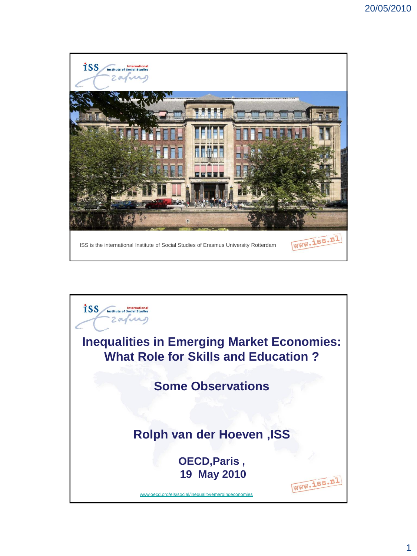

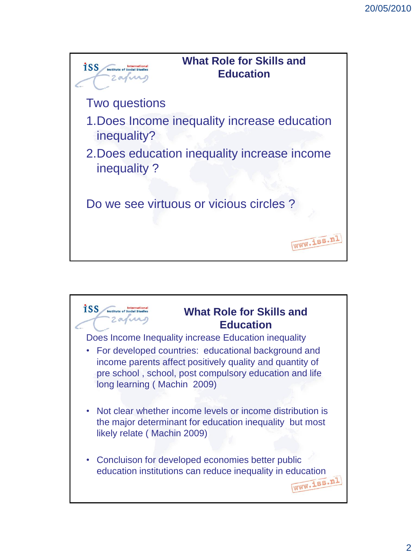

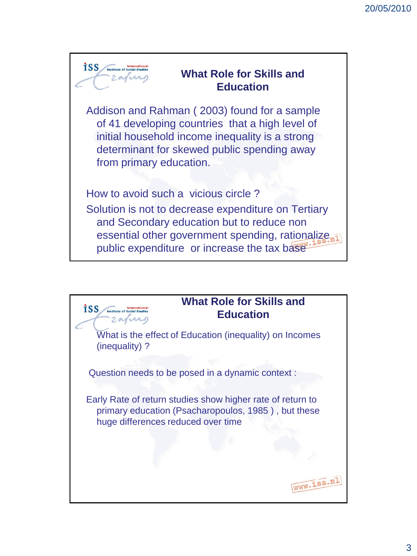

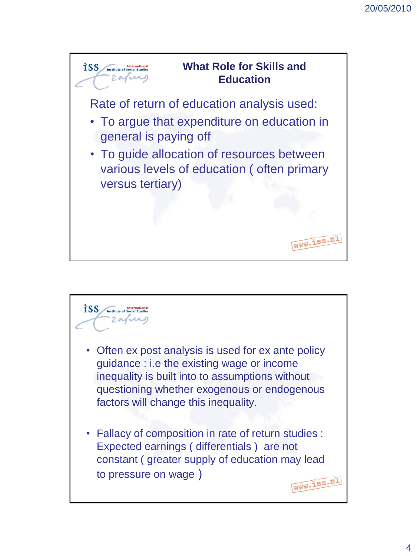

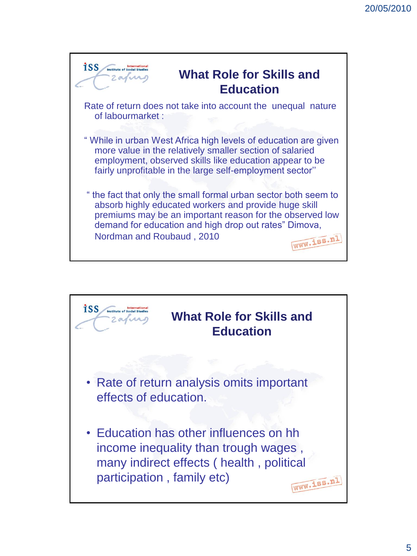

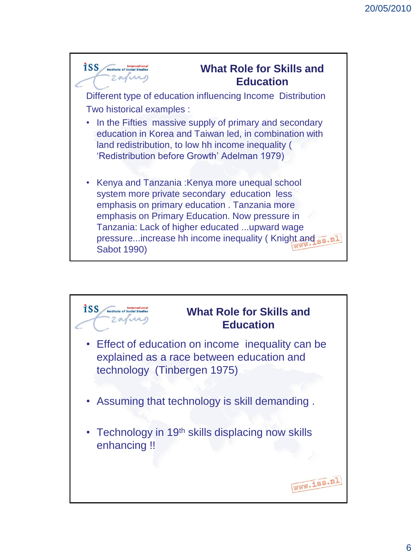

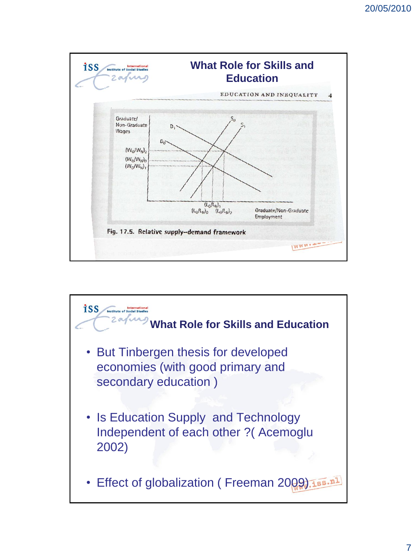

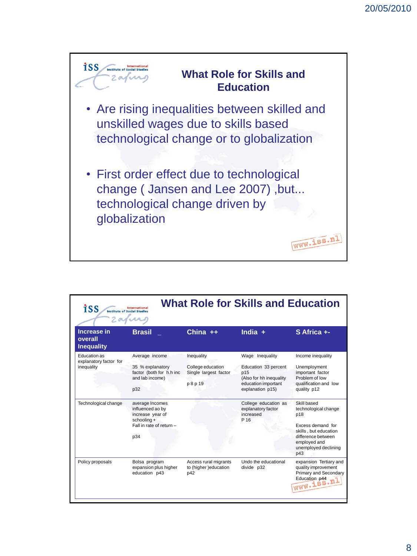

| <b>What Role for Skills and Education</b><br>iss<br><b>International</b><br><b>Institute of Social Studies</b> |                                                                                                           |                                                                      |                                                                                                                      |                                                                                                                                                               |
|----------------------------------------------------------------------------------------------------------------|-----------------------------------------------------------------------------------------------------------|----------------------------------------------------------------------|----------------------------------------------------------------------------------------------------------------------|---------------------------------------------------------------------------------------------------------------------------------------------------------------|
| <b>Increase in</b><br>overall<br><b>Inequality</b>                                                             | <b>Brasil</b>                                                                                             | China $++$                                                           | India $+$                                                                                                            | S Africa +-                                                                                                                                                   |
| Education as<br>explanatory factor for<br>inequality                                                           | Average income<br>35 % explanatory<br>factor (both for h.h inc<br>and lab income)<br>p32                  | Inequality<br>College education<br>Single largest factor<br>p 8 p 19 | Wage Inequality<br>Education 33 percent<br>p15<br>(Also for hh inequality<br>education important<br>explanation p15) | Income inequality<br>Unemployment<br>important factor<br>Problem of low<br>qualification and low<br>quality p12                                               |
| Technological change                                                                                           | average Incomes<br>influenced ao by<br>increase year of<br>schooling +<br>Fall in rate of return -<br>p34 |                                                                      | College education as<br>explanatory factor<br>increased<br>P 16                                                      | Skill based<br>technological change<br>p18<br>Excess demand for<br>skills, but education<br>difference between<br>employed and<br>unemployed declining<br>p43 |
| Policy proposals                                                                                               | Bolsa program<br>expansion plus higher<br>education p43                                                   | Access rural migrants<br>to (higher)education<br>p42                 | Undo the educational<br>divide p32                                                                                   | expansion Tertiary and<br>quality improvement<br>Primary and Secondary<br>Education p44.N                                                                     |